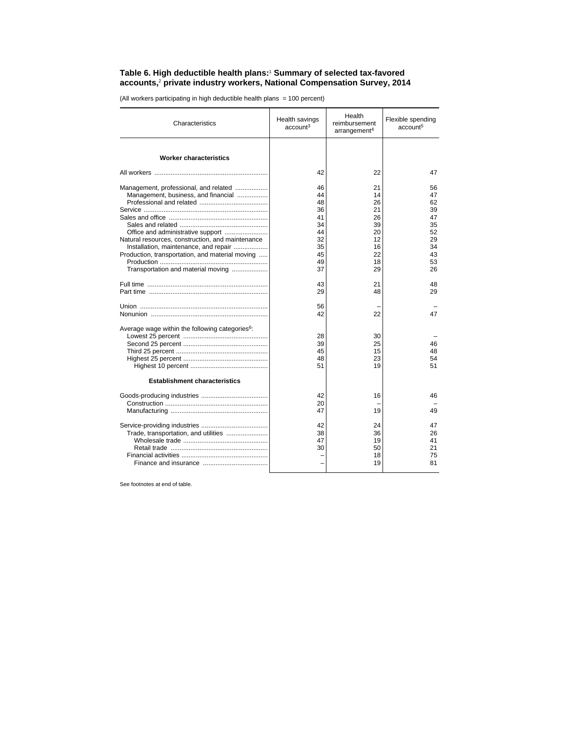## **Table 6. High deductible health plans:**<sup>1</sup>  **Summary of selected tax-favored accounts,**<sup>2</sup>  **private industry workers, National Compensation Survey, 2014**

(All workers participating in high deductible health plans = 100 percent)

| Characteristics                                                                                                                                                                                                                                                   | Health savings<br>account <sup>3</sup>                   | Health<br>reimbursement<br>arrangement <sup>4</sup>      | Flexible spending<br>account <sup>5</sup>                |
|-------------------------------------------------------------------------------------------------------------------------------------------------------------------------------------------------------------------------------------------------------------------|----------------------------------------------------------|----------------------------------------------------------|----------------------------------------------------------|
| <b>Worker characteristics</b>                                                                                                                                                                                                                                     |                                                          |                                                          |                                                          |
|                                                                                                                                                                                                                                                                   | 42                                                       | 22                                                       | 47                                                       |
| Management, professional, and related<br>Management, business, and financial<br>Office and administrative support<br>Natural resources, construction, and maintenance<br>Installation, maintenance, and repair<br>Production, transportation, and material moving | 46<br>44<br>48<br>36<br>41<br>34<br>44<br>32<br>35<br>45 | 21<br>14<br>26<br>21<br>26<br>39<br>20<br>12<br>16<br>22 | 56<br>47<br>62<br>39<br>47<br>35<br>52<br>29<br>34<br>43 |
| Transportation and material moving                                                                                                                                                                                                                                | 49<br>37                                                 | 18<br>29                                                 | 53<br>26                                                 |
|                                                                                                                                                                                                                                                                   | 43<br>29                                                 | 21<br>48                                                 | 48<br>29                                                 |
|                                                                                                                                                                                                                                                                   | 56<br>42                                                 | 22                                                       | 47                                                       |
| Average wage within the following categories <sup>6</sup> :                                                                                                                                                                                                       | 28<br>39<br>45<br>48<br>51                               | 30<br>25<br>15<br>23<br>19                               | 46<br>48<br>54<br>51                                     |
| <b>Establishment characteristics</b>                                                                                                                                                                                                                              |                                                          |                                                          |                                                          |
|                                                                                                                                                                                                                                                                   | 42<br>20<br>47                                           | 16<br>19                                                 | 46<br>49                                                 |
| Trade, transportation, and utilities                                                                                                                                                                                                                              | 42<br>38<br>47<br>30                                     | 24<br>36<br>19<br>50<br>18<br>19                         | 47<br>26<br>41<br>21<br>75<br>81                         |

See footnotes at end of table.